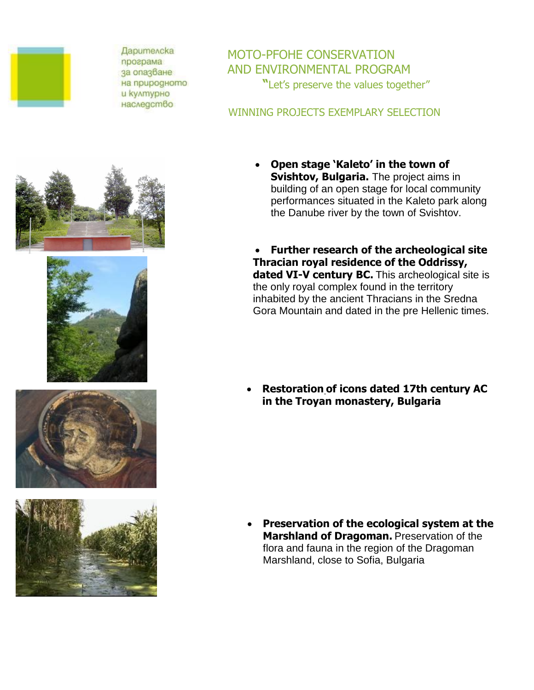

**Дарителска** програма за опазване на природното и културно наследство

MOTO-PFOHE CONSERVATION AND ENVIRONMENTAL PROGRAM **"**Let's preserve the values together"

## WINNING PROJECTS EXEMPLARY SELECTION



 **Further research of the archeological site Thracian royal residence of the Oddrissy, dated VI-V century BC.** This archeological site is the only royal complex found in the territory inhabited by the ancient Thracians in the Sredna Gora Mountain and dated in the pre Hellenic times.

 **Restoration of icons dated 17th century AC in the Troyan monastery, Bulgaria**

 **Preservation of the ecological system at the Marshland of Dragoman.** Preservation of the flora and fauna in the region of the Dragoman Marshland, close to Sofia, Bulgaria